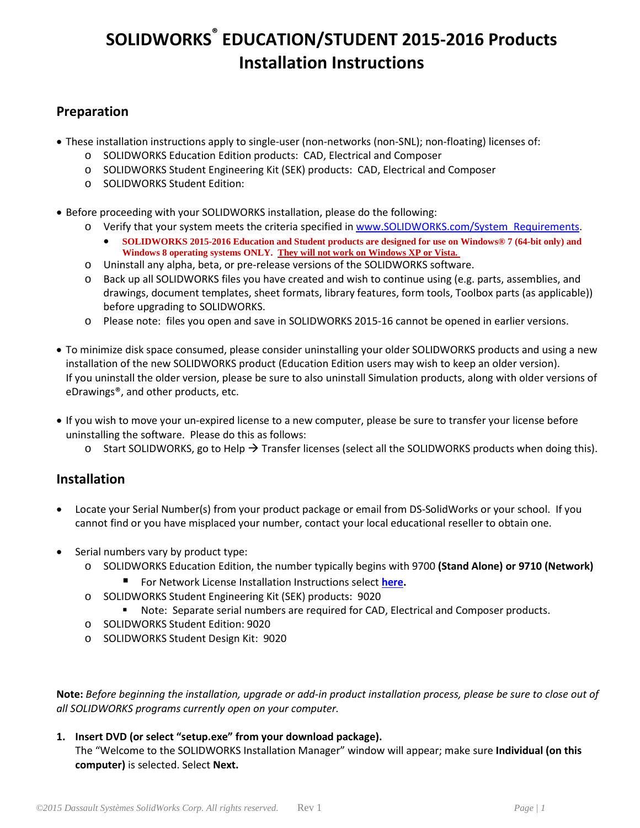### **Preparation**

- These installation instructions apply to single-user (non-networks (non-SNL); non-floating) licenses of:
	- o SOLIDWORKS Education Edition products: CAD, Electrical and Composer
	- o SOLIDWORKS Student Engineering Kit (SEK) products: CAD, Electrical and Composer
	- o SOLIDWORKS Student Edition:
- Before proceeding with your SOLIDWORKS installation, please do the following:
	- o Verify that your system meets the criteria specified in [www.SOLIDWORKS.com/System\\_Requirements.](http://www.solidworks.com/System_Requirements)
		- **SOLIDWORKS 2015-2016 Education and Student products are designed for use on Windows® 7 (64-bit only) and Windows 8 operating systems ONLY. They will not work on Windows XP or Vista.**
	- o Uninstall any alpha, beta, or pre-release versions of the SOLIDWORKS software.
	- o Back up all SOLIDWORKS files you have created and wish to continue using (e.g. parts, assemblies, and drawings, document templates, sheet formats, library features, form tools, Toolbox parts (as applicable)) before upgrading to SOLIDWORKS.
	- o Please note: files you open and save in SOLIDWORKS 2015-16 cannot be opened in earlier versions.
- To minimize disk space consumed, please consider uninstalling your older SOLIDWORKS products and using a new installation of the new SOLIDWORKS product (Education Edition users may wish to keep an older version). If you uninstall the older version, please be sure to also uninstall Simulation products, along with older versions of eDrawings®, and other products, etc.
- If you wish to move your un-expired license to a new computer, please be sure to transfer your license before uninstalling the software. Please do this as follows:
	- $\circ$  Start SOLIDWORKS, go to Help  $\rightarrow$  Transfer licenses (select all the SOLIDWORKS products when doing this).

### **Installation**

- Locate your Serial Number(s) from your product package or email from DS-SolidWorks or your school. If you cannot find or you have misplaced your number, contact your local educational reseller to obtain one.
- Serial numbers vary by product type:
	- o SOLIDWORKS Education Edition, the number typically begins with 9700 **(Stand Alone) or 9710 (Network)**
		- For Network License Installation Instructions select **[here.](http://files.solidworks.com/education/EDU_Network_Installation_Instructions_2012.pdf)**
	- o SOLIDWORKS Student Engineering Kit (SEK) products: 9020
		- Note: Separate serial numbers are required for CAD, Electrical and Composer products.
	- o SOLIDWORKS Student Edition: 9020
	- o SOLIDWORKS Student Design Kit: 9020

**Note:** *Before beginning the installation, upgrade or add-in product installation process, please be sure to close out of all SOLIDWORKS programs currently open on your computer.*

#### **1. Insert DVD (or select "setup.exe" from your download package).**

The "Welcome to the SOLIDWORKS Installation Manager" window will appear; make sure **Individual (on this computer)** is selected. Select **Next.**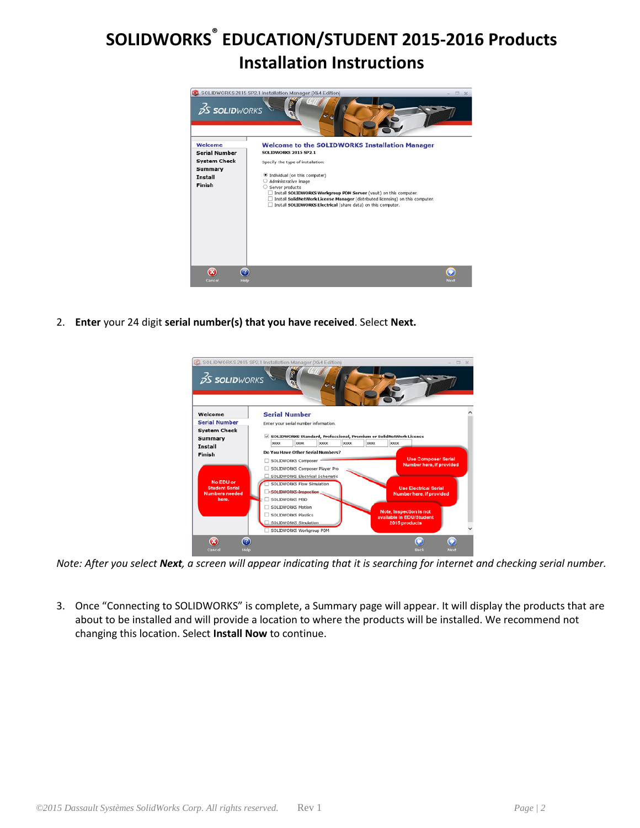

2. **Enter** your 24 digit **serial number(s) that you have received**. Select **Next.**



*Note: After you select Next, a screen will appear indicating that it is searching for internet and checking serial number.* 

3. Once "Connecting to SOLIDWORKS" is complete, a Summary page will appear. It will display the products that are about to be installed and will provide a location to where the products will be installed. We recommend not changing this location. Select **Install Now** to continue.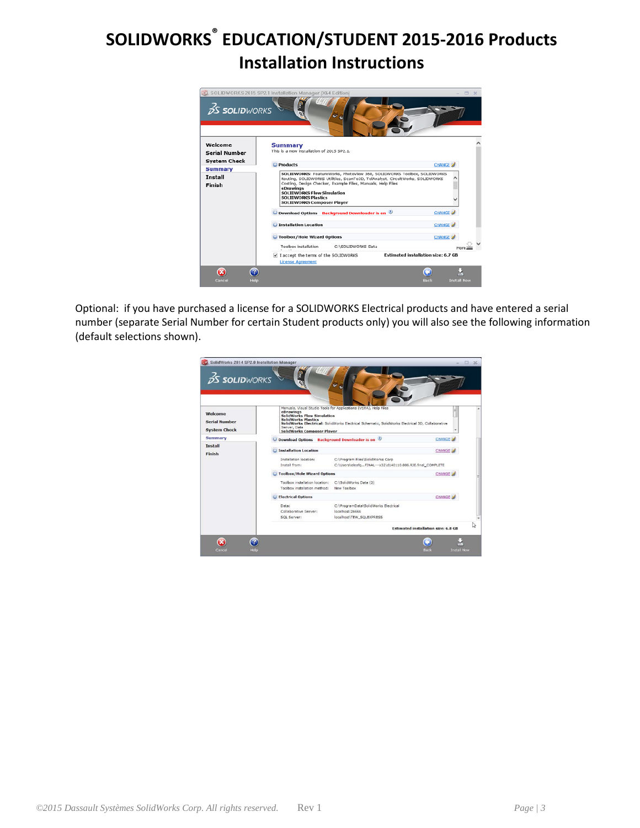

Optional: if you have purchased a license for a SOLIDWORKS Electrical products and have entered a serial number (separate Serial Number for certain Student products only) you will also see the following information (default selections shown).